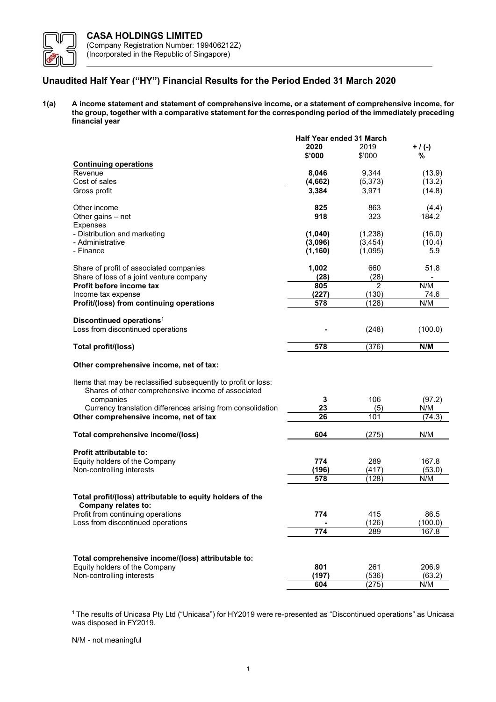

# Unaudited Half Year ("HY") Financial Results for the Period Ended 31 March 2020

1(a) A income statement and statement of comprehensive income, or a statement of comprehensive income, for the group, together with a comparative statement for the corresponding period of the immediately preceding financial year

|                                                                                                                      | <b>Half Year ended 31 March</b> |                |           |
|----------------------------------------------------------------------------------------------------------------------|---------------------------------|----------------|-----------|
|                                                                                                                      | 2020                            | 2019           | $+$ / (-) |
|                                                                                                                      | \$'000                          | \$'000         | %         |
| <b>Continuing operations</b>                                                                                         |                                 |                |           |
| Revenue                                                                                                              | 8,046                           | 9,344          | (13.9)    |
| Cost of sales                                                                                                        | (4,662)                         | (5, 373)       | (13.2)    |
| Gross profit                                                                                                         | 3,384                           | 3,971          | (14.8)    |
|                                                                                                                      |                                 |                |           |
| Other income                                                                                                         | 825                             | 863            | (4.4)     |
| Other gains – net                                                                                                    | 918                             | 323            | 184.2     |
| <b>Expenses</b>                                                                                                      |                                 |                |           |
| - Distribution and marketing                                                                                         | (1,040)                         | (1,238)        | (16.0)    |
| - Administrative                                                                                                     | (3,096)                         | (3, 454)       | (10.4)    |
| - Finance                                                                                                            | (1, 160)                        | (1,095)        | 5.9       |
|                                                                                                                      |                                 |                |           |
| Share of profit of associated companies                                                                              | 1,002                           | 660            | 51.8      |
| Share of loss of a joint venture company                                                                             | (28)                            | (28)           |           |
| Profit before income tax                                                                                             | 805                             | $\overline{2}$ | N/M       |
| Income tax expense                                                                                                   | (227)                           | (130)          | 74.6      |
|                                                                                                                      | 578                             | (128)          | N/M       |
| Profit/(loss) from continuing operations                                                                             |                                 |                |           |
| Discontinued operations <sup>1</sup>                                                                                 |                                 |                |           |
| Loss from discontinued operations                                                                                    |                                 |                |           |
|                                                                                                                      |                                 | (248)          | (100.0)   |
|                                                                                                                      | 578                             | (376)          | N/M       |
| Total profit/(loss)                                                                                                  |                                 |                |           |
| Other comprehensive income, net of tax:                                                                              |                                 |                |           |
| Items that may be reclassified subsequently to profit or loss:<br>Shares of other comprehensive income of associated |                                 |                |           |
| companies                                                                                                            | 3                               | 106            | (97.2)    |
| Currency translation differences arising from consolidation                                                          | 23                              | (5)            | N/M       |
| Other comprehensive income, net of tax                                                                               | 26                              | 101            | (74.3)    |
|                                                                                                                      |                                 |                |           |
| Total comprehensive income/(loss)                                                                                    | 604                             | (275)          | N/M       |
|                                                                                                                      |                                 |                |           |
| <b>Profit attributable to:</b>                                                                                       |                                 |                |           |
| Equity holders of the Company                                                                                        | 774                             | 289            | 167.8     |
| Non-controlling interests                                                                                            | (196)                           | (417)          | (53.0)    |
|                                                                                                                      | 578                             | (128)          | N/M       |
|                                                                                                                      |                                 |                |           |
| Total profit/(loss) attributable to equity holders of the                                                            |                                 |                |           |
| Company relates to:                                                                                                  |                                 |                |           |
| Profit from continuing operations                                                                                    | 774                             | 415            | 86.5      |
| Loss from discontinued operations                                                                                    |                                 | (126)          | (100.0)   |
|                                                                                                                      | 774                             | 289            | 167.8     |
|                                                                                                                      |                                 |                |           |
|                                                                                                                      |                                 |                |           |
| Total comprehensive income/(loss) attributable to:                                                                   |                                 |                |           |
| Equity holders of the Company                                                                                        | 801                             | 261            | 206.9     |
| Non-controlling interests                                                                                            | (197)                           | (536)          | (63.2)    |
|                                                                                                                      | 604                             | (275)          | N/M       |

<sup>1</sup>The results of Unicasa Pty Ltd ("Unicasa") for HY2019 were re-presented as "Discontinued operations" as Unicasa was disposed in FY2019.

# N/M - not meaningful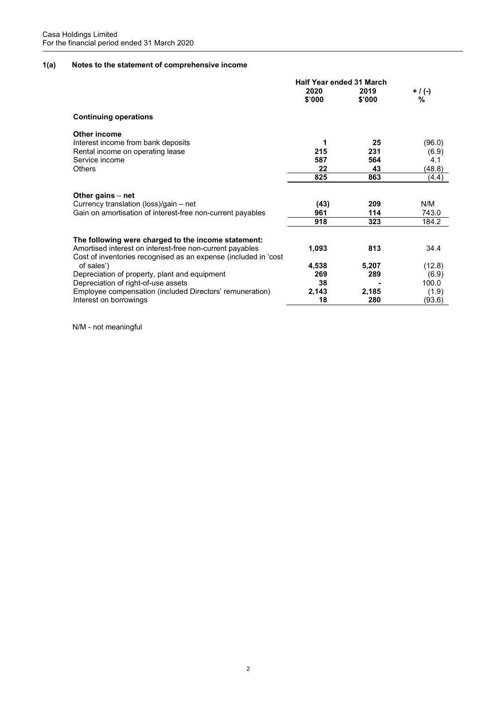# 1(a) Notes to the statement of comprehensive income

|                                                                               | <b>Half Year ended 31 March</b> |                |                |  |
|-------------------------------------------------------------------------------|---------------------------------|----------------|----------------|--|
|                                                                               | 2020<br>\$'000                  | 2019<br>\$'000 | $+$ / (-)<br>% |  |
| <b>Continuing operations</b>                                                  |                                 |                |                |  |
| Other income                                                                  |                                 |                |                |  |
| Interest income from bank deposits                                            | 1                               | 25             | (96.0)         |  |
| Rental income on operating lease                                              | 215                             | 231            | (6.9)          |  |
| Service income                                                                | 587                             | 564            | 4.1            |  |
| Others                                                                        | 22                              | 43             | (48.8)         |  |
|                                                                               | 825                             | 863            | (4.4)          |  |
| Other gains – net                                                             |                                 |                |                |  |
| Currency translation (loss)/gain – net                                        | (43)                            | 209            | N/M            |  |
| Gain on amortisation of interest-free non-current payables                    | 961                             | 114            | 743.0          |  |
|                                                                               | 918                             | 323            | 184.2          |  |
| The following were charged to the income statement:                           |                                 |                |                |  |
| Amortised interest on interest-free non-current payables                      | 1,093                           | 813            | 34.4           |  |
| Cost of inventories recognised as an expense (included in 'cost<br>of sales') | 4,538                           | 5,207          | (12.8)         |  |
| Depreciation of property, plant and equipment                                 | 269                             | 289            | (6.9)          |  |
| Depreciation of right-of-use assets                                           | 38                              |                | 100.0          |  |
| Employee compensation (included Directors' remuneration)                      | 2,143                           | 2,185          | (1.9)          |  |
| Interest on borrowings                                                        | 18                              | 280            | (93.6)         |  |

N/M - not meaningful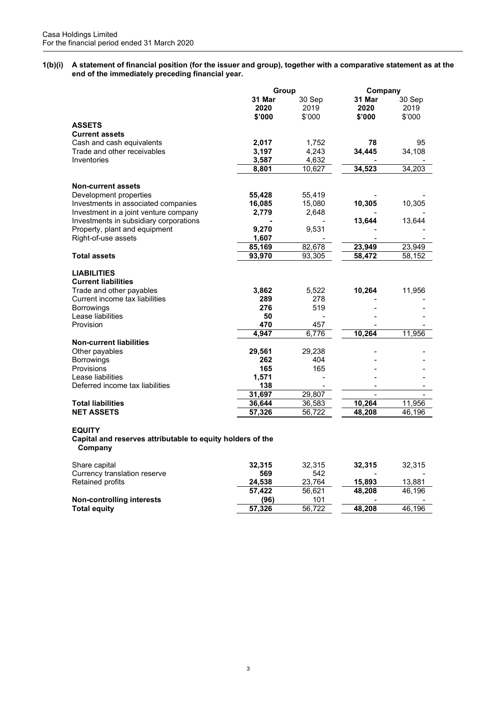1(b)(i) A statement of financial position (for the issuer and group), together with a comparative statement as at the end of the immediately preceding financial year.

|                                                                                                                                                                       | Group                            |                            | Company                  |                          |
|-----------------------------------------------------------------------------------------------------------------------------------------------------------------------|----------------------------------|----------------------------|--------------------------|--------------------------|
|                                                                                                                                                                       | 31 Mar<br>2020<br>\$'000         | 30 Sep<br>2019<br>\$'000   | 31 Mar<br>2020<br>\$'000 | 30 Sep<br>2019<br>\$'000 |
| <b>ASSETS</b>                                                                                                                                                         |                                  |                            |                          |                          |
| <b>Current assets</b>                                                                                                                                                 |                                  |                            |                          |                          |
| Cash and cash equivalents                                                                                                                                             | 2,017                            | 1,752                      | 78                       | 95                       |
| Trade and other receivables                                                                                                                                           | 3,197                            | 4,243                      | 34,445                   | 34,108                   |
| Inventories                                                                                                                                                           | 3,587                            | 4,632                      |                          |                          |
|                                                                                                                                                                       | 8,801                            | 10,627                     | 34,523                   | 34,203                   |
| <b>Non-current assets</b>                                                                                                                                             |                                  |                            |                          |                          |
| Development properties                                                                                                                                                | 55,428                           | 55,419                     |                          |                          |
| Investments in associated companies                                                                                                                                   | 16,085                           | 15,080                     | 10,305                   | 10,305                   |
| Investment in a joint venture company                                                                                                                                 | 2,779                            | 2,648                      |                          |                          |
| Investments in subsidiary corporations                                                                                                                                |                                  |                            | 13,644                   | 13,644                   |
| Property, plant and equipment                                                                                                                                         | 9,270                            | 9,531                      |                          |                          |
| Right-of-use assets                                                                                                                                                   | 1,607                            |                            |                          |                          |
|                                                                                                                                                                       | 85,169                           | 82,678                     | 23,949                   | 23,949                   |
| <b>Total assets</b>                                                                                                                                                   | 93,970                           | 93,305                     | 58,472                   | 58,152                   |
| <b>LIABILITIES</b><br><b>Current liabilities</b><br>Trade and other payables<br>Current income tax liabilities<br><b>Borrowings</b><br>Lease liabilities<br>Provision | 3,862<br>289<br>276<br>50<br>470 | 5,522<br>278<br>519<br>457 | 10,264                   | 11,956                   |
|                                                                                                                                                                       | 4,947                            | 6,776                      | 10,264                   | 11,956                   |
| <b>Non-current liabilities</b>                                                                                                                                        |                                  |                            |                          |                          |
| Other payables                                                                                                                                                        | 29,561                           | 29,238                     |                          |                          |
| <b>Borrowings</b>                                                                                                                                                     | 262                              | 404                        |                          |                          |
| Provisions                                                                                                                                                            | 165                              | 165                        |                          |                          |
| Lease liabilities                                                                                                                                                     | 1,571                            |                            |                          |                          |
| Deferred income tax liabilities                                                                                                                                       | 138                              | $\blacksquare$             |                          |                          |
|                                                                                                                                                                       | 31,697                           | 29,807                     |                          |                          |
| <b>Total liabilities</b>                                                                                                                                              | 36,644                           | 36,583                     | 10,264                   | 11,956                   |
| <b>NET ASSETS</b>                                                                                                                                                     | 57,326                           | 56,722                     | 48,208                   | 46,196                   |
| <b>EQUITY</b><br>Capital and reserves attributable to equity holders of the<br>Company                                                                                |                                  |                            |                          |                          |

| Share capital                | 32.315 | 32.315 | 32.315 | 32,315 |
|------------------------------|--------|--------|--------|--------|
| Currency translation reserve | 569    | 542    |        |        |
| Retained profits             | 24.538 | 23.764 | 15,893 | 13.881 |
|                              | 57.422 | 56.621 | 48.208 | 46.196 |
| Non-controlling interests    | (96)   | 101    |        |        |
| Total equity                 | 57.326 | 56.722 | 48.208 | 46.196 |
|                              |        |        |        |        |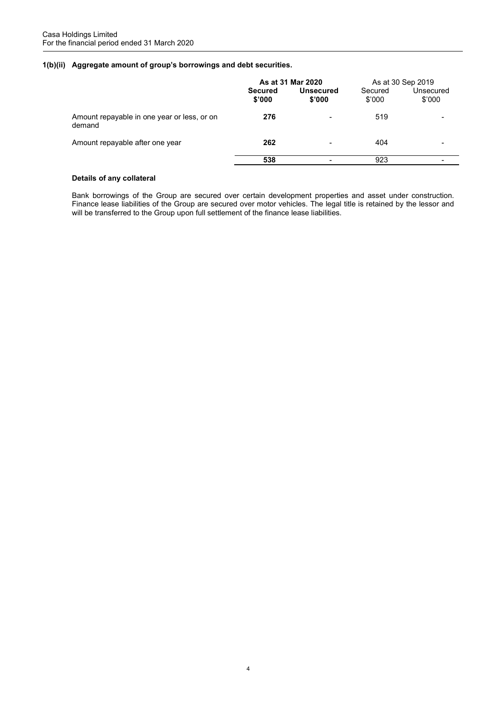# 1(b)(ii) Aggregate amount of group's borrowings and debt securities.

|                                                       | As at 31 Mar 2020        |                            | As at 30 Sep 2019 |                          |
|-------------------------------------------------------|--------------------------|----------------------------|-------------------|--------------------------|
|                                                       | <b>Secured</b><br>\$'000 | <b>Unsecured</b><br>\$'000 | Secured<br>\$'000 | Unsecured<br>\$'000      |
| Amount repayable in one year or less, or on<br>demand | 276                      |                            | 519               |                          |
| Amount repayable after one year                       | 262                      | $\blacksquare$             | 404               | $\overline{\phantom{0}}$ |
|                                                       | 538                      |                            | 923               |                          |

# Details of any collateral

 Bank borrowings of the Group are secured over certain development properties and asset under construction. Finance lease liabilities of the Group are secured over motor vehicles. The legal title is retained by the lessor and will be transferred to the Group upon full settlement of the finance lease liabilities.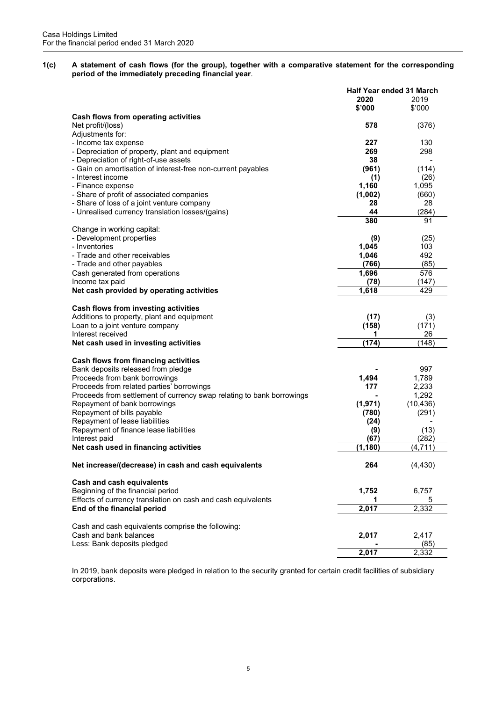1(c) A statement of cash flows (for the group), together with a comparative statement for the corresponding period of the immediately preceding financial year.

|                                                                       | Half Year ended 31 March |           |
|-----------------------------------------------------------------------|--------------------------|-----------|
|                                                                       | 2020<br>2019             |           |
|                                                                       | \$'000                   | \$'000    |
|                                                                       |                          |           |
| Cash flows from operating activities                                  |                          |           |
| Net profit/(loss)                                                     | 578                      | (376)     |
| Adjustments for:                                                      |                          |           |
| - Income tax expense                                                  | 227                      | 130       |
| - Depreciation of property, plant and equipment                       | 269                      | 298       |
| - Depreciation of right-of-use assets                                 | 38                       |           |
| - Gain on amortisation of interest-free non-current payables          | (961)                    | (114)     |
| - Interest income                                                     | (1)                      | (26)      |
| - Finance expense                                                     | 1,160                    | 1,095     |
| - Share of profit of associated companies                             | (1,002)                  | (660)     |
| - Share of loss of a joint venture company                            | 28                       | 28        |
|                                                                       |                          |           |
| - Unrealised currency translation losses/(gains)                      | 44                       | (284)     |
|                                                                       | 380                      | 91        |
| Change in working capital:                                            |                          |           |
| - Development properties                                              | (9)                      | (25)      |
| - Inventories                                                         | 1,045                    | 103       |
| - Trade and other receivables                                         | 1,046                    | 492       |
| - Trade and other payables                                            | (766)                    | (85)      |
| Cash generated from operations                                        | 1,696                    | 576       |
| Income tax paid                                                       |                          |           |
|                                                                       | (78)                     | (147)     |
| Net cash provided by operating activities                             | 1,618                    | 429       |
| Cash flows from investing activities                                  |                          |           |
| Additions to property, plant and equipment                            | (17)                     | (3)       |
| Loan to a joint venture company                                       | (158)                    | (171)     |
| Interest received                                                     | 1                        | 26        |
| Net cash used in investing activities                                 | (174)                    | (148)     |
|                                                                       |                          |           |
| Cash flows from financing activities                                  |                          |           |
| Bank deposits released from pledge                                    |                          | 997       |
| Proceeds from bank borrowings                                         | 1,494                    | 1,789     |
| Proceeds from related parties' borrowings                             | 177                      | 2,233     |
| Proceeds from settlement of currency swap relating to bank borrowings |                          | 1,292     |
| Repayment of bank borrowings                                          | (1,971)                  | (10, 436) |
| Repayment of bills payable                                            | (780)                    | (291)     |
| Repayment of lease liabilities                                        | (24)                     |           |
| Repayment of finance lease liabilities                                |                          | (13)      |
|                                                                       | (9)                      |           |
| Interest paid                                                         | (67)                     | (282)     |
| Net cash used in financing activities                                 | (1, 180)                 | (4,711)   |
| Net increase/(decrease) in cash and cash equivalents                  | 264                      | (4, 430)  |
| Cash and cash equivalents                                             |                          |           |
| Beginning of the financial period                                     | 1,752                    | 6,757     |
| Effects of currency translation on cash and cash equivalents          | 1                        | 5         |
| End of the financial period                                           | 2,017                    | 2,332     |
| Cash and cash equivalents comprise the following:                     |                          |           |
|                                                                       |                          |           |
| Cash and bank balances                                                | 2,017                    | 2,417     |
| Less: Bank deposits pledged                                           |                          | (85)      |
|                                                                       | 2,017                    | 2,332     |

In 2019, bank deposits were pledged in relation to the security granted for certain credit facilities of subsidiary corporations.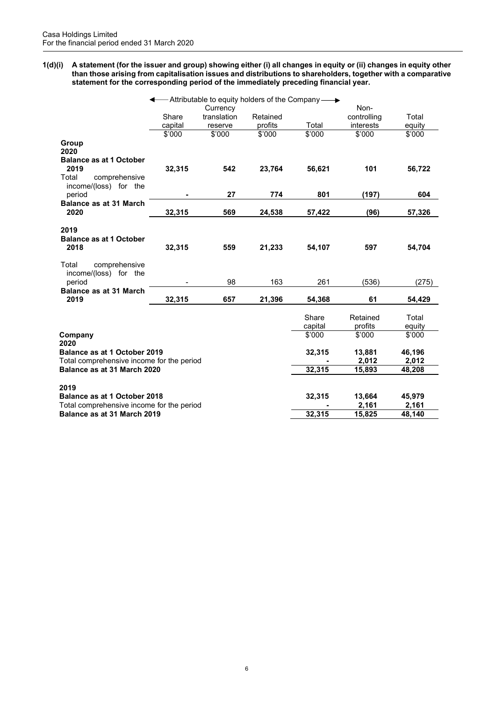1(d)(i) A statement (for the issuer and group) showing either (i) all changes in equity or (ii) changes in equity other than those arising from capitalisation issues and distributions to shareholders, together with a comparative statement for the corresponding period of the immediately preceding financial year.

|                                                                           |         | - Attributable to equity holders of the Company $\longrightarrow$ |          |                  |                     |                 |
|---------------------------------------------------------------------------|---------|-------------------------------------------------------------------|----------|------------------|---------------------|-----------------|
|                                                                           |         | Currency                                                          |          |                  | Non-                |                 |
|                                                                           | Share   | translation                                                       | Retained |                  | controlling         | Total           |
|                                                                           | capital | reserve                                                           | profits  | Total            | interests           | equity          |
|                                                                           | \$'000  | \$'000                                                            | \$'000   | \$'000           | \$'000              | \$'000          |
| Group<br>2020<br><b>Balance as at 1 October</b>                           |         |                                                                   |          |                  |                     |                 |
| 2019<br>Total<br>comprehensive<br>income/(loss) for the                   | 32,315  | 542                                                               | 23,764   | 56,621           | 101                 | 56,722          |
| period                                                                    |         | 27                                                                | 774      | 801              | (197)               | 604             |
| <b>Balance as at 31 March</b><br>2020                                     | 32,315  | 569                                                               | 24,538   | 57,422           | (96)                | 57,326          |
| 2019<br><b>Balance as at 1 October</b><br>2018                            | 32,315  | 559                                                               | 21,233   | 54,107           | 597                 | 54,704          |
| Total<br>comprehensive<br>income/(loss) for the<br>period                 |         | 98                                                                | 163      | 261              | (536)               | (275)           |
| <b>Balance as at 31 March</b><br>2019                                     | 32,315  | 657                                                               | 21,396   | 54,368           | 61                  | 54,429          |
|                                                                           |         |                                                                   |          | Share<br>capital | Retained<br>profits | Total<br>equity |
| Company<br>2020                                                           |         |                                                                   |          | \$'000           | \$'000              | \$'000          |
| Balance as at 1 October 2019<br>Total comprehensive income for the period |         |                                                                   |          | 32,315           | 13,881<br>2,012     | 46,196<br>2,012 |
| Balance as at 31 March 2020                                               |         |                                                                   |          | 32,315           | 15,893              | 48,208          |
| 2019                                                                      |         |                                                                   |          |                  |                     |                 |
| Balance as at 1 October 2018                                              |         |                                                                   |          | 32,315           | 13,664              | 45,979          |
| Total comprehensive income for the period<br>Balance as at 31 March 2019  |         |                                                                   |          | 32,315           | 2,161<br>15,825     | 2,161<br>48,140 |
|                                                                           |         |                                                                   |          |                  |                     |                 |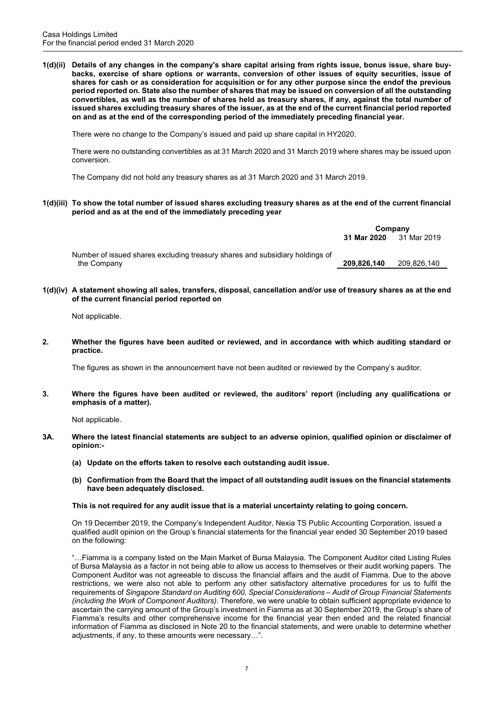1(d)(ii) Details of any changes in the company's share capital arising from rights issue, bonus issue, share buybacks, exercise of share options or warrants, conversion of other issues of equity securities, issue of shares for cash or as consideration for acquisition or for any other purpose since the endof the previous period reported on. State also the number of shares that may be issued on conversion of all the outstanding convertibles, as well as the number of shares held as treasury shares, if any, against the total number of issued shares excluding treasury shares of the issuer, as at the end of the current financial period reported on and as at the end of the corresponding period of the immediately preceding financial year.

There were no change to the Company's issued and paid up share capital in HY2020.

 There were no outstanding convertibles as at 31 March 2020 and 31 March 2019 where shares may be issued upon conversion.

The Company did not hold any treasury shares as at 31 March 2020 and 31 March 2019.

1(d)(iii) To show the total number of issued shares excluding treasury shares as at the end of the current financial period and as at the end of the immediately preceding year

|                                                                              | Company     |             |  |
|------------------------------------------------------------------------------|-------------|-------------|--|
|                                                                              | 31 Mar 2020 | 31 Mar 2019 |  |
| Number of issued shares excluding treasury shares and subsidiary holdings of |             |             |  |
| the Company                                                                  | 209,826,140 | 209,826,140 |  |

1(d)(iv) A statement showing all sales, transfers, disposal, cancellation and/or use of treasury shares as at the end of the current financial period reported on

Not applicable.

2. Whether the figures have been audited or reviewed, and in accordance with which auditing standard or practice.

The figures as shown in the announcement have not been audited or reviewed by the Company's auditor.

3. Where the figures have been audited or reviewed, the auditors' report (including any qualifications or emphasis of a matter).

Not applicable.

- 3A. Where the latest financial statements are subject to an adverse opinion, qualified opinion or disclaimer of opinion:-
	- (a) Update on the efforts taken to resolve each outstanding audit issue.
	- (b) Confirmation from the Board that the impact of all outstanding audit issues on the financial statements have been adequately disclosed.

# This is not required for any audit issue that is a material uncertainty relating to going concern.

On 19 December 2019, the Company's Independent Auditor, Nexia TS Public Accounting Corporation, issued a qualified audit opinion on the Group's financial statements for the financial year ended 30 September 2019 based on the following:

"…Fiamma is a company listed on the Main Market of Bursa Malaysia. The Component Auditor cited Listing Rules of Bursa Malaysia as a factor in not being able to allow us access to themselves or their audit working papers. The Component Auditor was not agreeable to discuss the financial affairs and the audit of Fiamma. Due to the above restrictions, we were also not able to perform any other satisfactory alternative procedures for us to fulfil the requirements of Singapore Standard on Auditing 600, Special Considerations – Audit of Group Financial Statements (including the Work of Component Auditors). Therefore, we were unable to obtain sufficient appropriate evidence to ascertain the carrying amount of the Group's investment in Fiamma as at 30 September 2019, the Group's share of Fiamma's results and other comprehensive income for the financial year then ended and the related financial information of Fiamma as disclosed in Note 20 to the financial statements, and were unable to determine whether adjustments, if any, to these amounts were necessary…".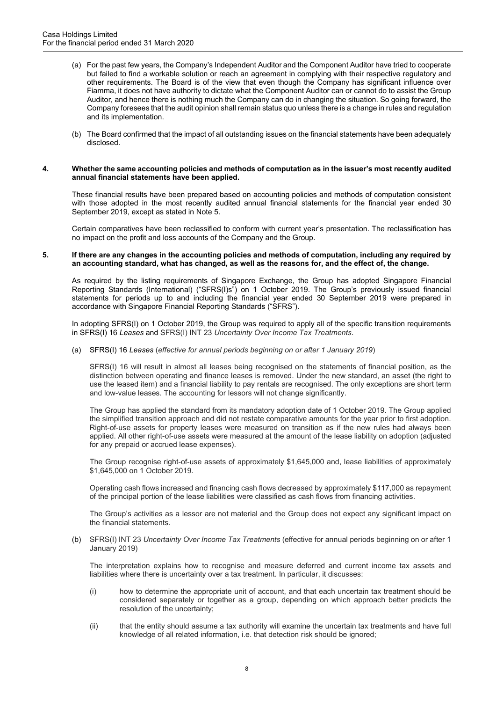- (a) For the past few years, the Company's Independent Auditor and the Component Auditor have tried to cooperate but failed to find a workable solution or reach an agreement in complying with their respective regulatory and other requirements. The Board is of the view that even though the Company has significant influence over Fiamma, it does not have authority to dictate what the Component Auditor can or cannot do to assist the Group Auditor, and hence there is nothing much the Company can do in changing the situation. So going forward, the Company foresees that the audit opinion shall remain status quo unless there is a change in rules and regulation and its implementation.
- (b) The Board confirmed that the impact of all outstanding issues on the financial statements have been adequately disclosed.

#### 4. Whether the same accounting policies and methods of computation as in the issuer's most recently audited annual financial statements have been applied.

These financial results have been prepared based on accounting policies and methods of computation consistent with those adopted in the most recently audited annual financial statements for the financial year ended 30 September 2019, except as stated in Note 5.

Certain comparatives have been reclassified to conform with current year's presentation. The reclassification has no impact on the profit and loss accounts of the Company and the Group.

#### 5. If there are any changes in the accounting policies and methods of computation, including any required by an accounting standard, what has changed, as well as the reasons for, and the effect of, the change.

As required by the listing requirements of Singapore Exchange, the Group has adopted Singapore Financial Reporting Standards (International) ("SFRS(I)s") on 1 October 2019. The Group's previously issued financial statements for periods up to and including the financial year ended 30 September 2019 were prepared in accordance with Singapore Financial Reporting Standards ("SFRS").

In adopting SFRS(I) on 1 October 2019, the Group was required to apply all of the specific transition requirements in SFRS(I) 16 Leases and SFRS(I) INT 23 Uncertainty Over Income Tax Treatments.

(a) SFRS(I) 16 Leases (effective for annual periods beginning on or after 1 January 2019)

SFRS(I) 16 will result in almost all leases being recognised on the statements of financial position, as the distinction between operating and finance leases is removed. Under the new standard, an asset (the right to use the leased item) and a financial liability to pay rentals are recognised. The only exceptions are short term and low-value leases. The accounting for lessors will not change significantly.

The Group has applied the standard from its mandatory adoption date of 1 October 2019. The Group applied the simplified transition approach and did not restate comparative amounts for the year prior to first adoption. Right-of-use assets for property leases were measured on transition as if the new rules had always been applied. All other right-of-use assets were measured at the amount of the lease liability on adoption (adjusted for any prepaid or accrued lease expenses).

The Group recognise right-of-use assets of approximately \$1,645,000 and, lease liabilities of approximately \$1,645,000 on 1 October 2019.

Operating cash flows increased and financing cash flows decreased by approximately \$117,000 as repayment of the principal portion of the lease liabilities were classified as cash flows from financing activities.

The Group's activities as a lessor are not material and the Group does not expect any significant impact on the financial statements.

(b) SFRS(I) INT 23 Uncertainty Over Income Tax Treatments (effective for annual periods beginning on or after 1 January 2019)

The interpretation explains how to recognise and measure deferred and current income tax assets and liabilities where there is uncertainty over a tax treatment. In particular, it discusses:

- (i) how to determine the appropriate unit of account, and that each uncertain tax treatment should be considered separately or together as a group, depending on which approach better predicts the resolution of the uncertainty;
- (ii) that the entity should assume a tax authority will examine the uncertain tax treatments and have full knowledge of all related information, i.e. that detection risk should be ignored;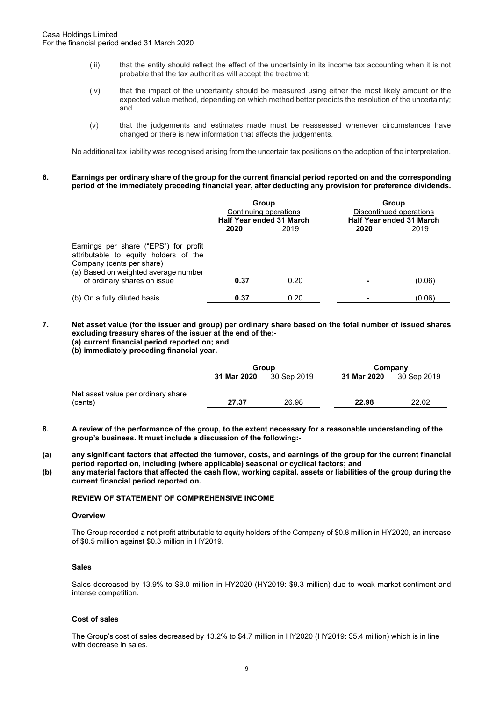- (iii) that the entity should reflect the effect of the uncertainty in its income tax accounting when it is not probable that the tax authorities will accept the treatment;
- (iv) that the impact of the uncertainty should be measured using either the most likely amount or the expected value method, depending on which method better predicts the resolution of the uncertainty; and
- (v) that the judgements and estimates made must be reassessed whenever circumstances have changed or there is new information that affects the judgements.

No additional tax liability was recognised arising from the uncertain tax positions on the adoption of the interpretation.

#### 6. Earnings per ordinary share of the group for the current financial period reported on and the corresponding period of the immediately preceding financial year, after deducting any provision for preference dividends.

|                                                                                                                                                     | Group<br>Continuing operations<br><b>Half Year ended 31 March</b><br>2019<br>2020 |      | 2020 | Group<br>Discontinued operations<br><b>Half Year ended 31 March</b><br>2019 |
|-----------------------------------------------------------------------------------------------------------------------------------------------------|-----------------------------------------------------------------------------------|------|------|-----------------------------------------------------------------------------|
| Earnings per share ("EPS") for profit<br>attributable to equity holders of the<br>Company (cents per share)<br>(a) Based on weighted average number |                                                                                   |      |      |                                                                             |
| of ordinary shares on issue                                                                                                                         | 0.37                                                                              | 0.20 |      | (0.06)                                                                      |
| (b) On a fully diluted basis                                                                                                                        | 0.37                                                                              | 0.20 |      | (0.06)                                                                      |

# 7. Net asset value (for the issuer and group) per ordinary share based on the total number of issued shares excluding treasury shares of the issuer at the end of the:- (a) current financial period reported on; and

(b) immediately preceding financial year.

|                                    | Group       |             | Company     |             |
|------------------------------------|-------------|-------------|-------------|-------------|
|                                    | 31 Mar 2020 | 30 Sep 2019 | 31 Mar 2020 | 30 Sep 2019 |
| Net asset value per ordinary share |             |             |             |             |
| (cents)                            | 27.37       | 26.98       | 22.98       | 22.02       |

- 8. A review of the performance of the group, to the extent necessary for a reasonable understanding of the group's business. It must include a discussion of the following:-
- (a) any significant factors that affected the turnover, costs, and earnings of the group for the current financial period reported on, including (where applicable) seasonal or cyclical factors; and
- (b) any material factors that affected the cash flow, working capital, assets or liabilities of the group during the current financial period reported on.

# REVIEW OF STATEMENT OF COMPREHENSIVE INCOME

### **Overview**

The Group recorded a net profit attributable to equity holders of the Company of \$0.8 million in HY2020, an increase of \$0.5 million against \$0.3 million in HY2019.

# Sales

Sales decreased by 13.9% to \$8.0 million in HY2020 (HY2019: \$9.3 million) due to weak market sentiment and intense competition.

# Cost of sales

The Group's cost of sales decreased by 13.2% to \$4.7 million in HY2020 (HY2019: \$5.4 million) which is in line with decrease in sales.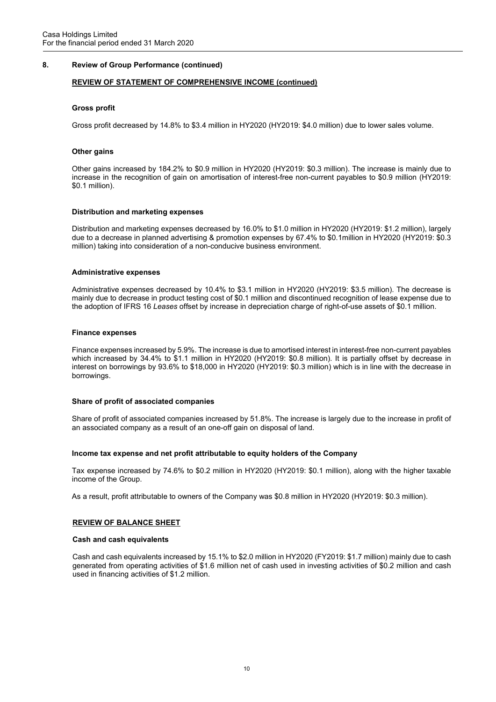# 8. Review of Group Performance (continued)

## REVIEW OF STATEMENT OF COMPREHENSIVE INCOME (continued)

#### Gross profit

Gross profit decreased by 14.8% to \$3.4 million in HY2020 (HY2019: \$4.0 million) due to lower sales volume.

#### **Other gains**

Other gains increased by 184.2% to \$0.9 million in HY2020 (HY2019: \$0.3 million). The increase is mainly due to increase in the recognition of gain on amortisation of interest-free non-current payables to \$0.9 million (HY2019: \$0.1 million).

#### Distribution and marketing expenses

Distribution and marketing expenses decreased by 16.0% to \$1.0 million in HY2020 (HY2019: \$1.2 million), largely due to a decrease in planned advertising & promotion expenses by 67.4% to \$0.1million in HY2020 (HY2019: \$0.3 million) taking into consideration of a non-conducive business environment.

#### Administrative expenses

Administrative expenses decreased by 10.4% to \$3.1 million in HY2020 (HY2019: \$3.5 million). The decrease is mainly due to decrease in product testing cost of \$0.1 million and discontinued recognition of lease expense due to the adoption of IFRS 16 Leases offset by increase in depreciation charge of right-of-use assets of \$0.1 million.

#### Finance expenses

Finance expenses increased by 5.9%. The increase is due to amortised interest in interest-free non-current payables which increased by 34.4% to \$1.1 million in HY2020 (HY2019: \$0.8 million). It is partially offset by decrease in interest on borrowings by 93.6% to \$18,000 in HY2020 (HY2019: \$0.3 million) which is in line with the decrease in borrowings.

#### Share of profit of associated companies

Share of profit of associated companies increased by 51.8%. The increase is largely due to the increase in profit of an associated company as a result of an one-off gain on disposal of land.

#### Income tax expense and net profit attributable to equity holders of the Company

Tax expense increased by 74.6% to \$0.2 million in HY2020 (HY2019: \$0.1 million), along with the higher taxable income of the Group.

As a result, profit attributable to owners of the Company was \$0.8 million in HY2020 (HY2019: \$0.3 million).

#### REVIEW OF BALANCE SHEET

#### Cash and cash equivalents

Cash and cash equivalents increased by 15.1% to \$2.0 million in HY2020 (FY2019: \$1.7 million) mainly due to cash generated from operating activities of \$1.6 million net of cash used in investing activities of \$0.2 million and cash used in financing activities of \$1.2 million.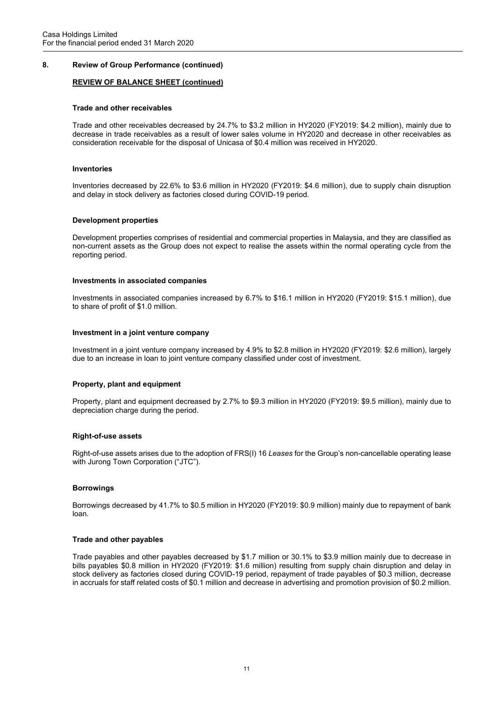## 8. Review of Group Performance (continued)

## REVIEW OF BALANCE SHEET (continued)

#### Trade and other receivables

Trade and other receivables decreased by 24.7% to \$3.2 million in HY2020 (FY2019: \$4.2 million), mainly due to decrease in trade receivables as a result of lower sales volume in HY2020 and decrease in other receivables as consideration receivable for the disposal of Unicasa of \$0.4 million was received in HY2020.

#### Inventories

Inventories decreased by 22.6% to \$3.6 million in HY2020 (FY2019: \$4.6 million), due to supply chain disruption and delay in stock delivery as factories closed during COVID-19 period.

#### Development properties

Development properties comprises of residential and commercial properties in Malaysia, and they are classified as non-current assets as the Group does not expect to realise the assets within the normal operating cycle from the reporting period.

#### Investments in associated companies

Investments in associated companies increased by 6.7% to \$16.1 million in HY2020 (FY2019: \$15.1 million), due to share of profit of \$1.0 million.

#### Investment in a joint venture company

Investment in a joint venture company increased by 4.9% to \$2.8 million in HY2020 (FY2019: \$2.6 million), largely due to an increase in loan to joint venture company classified under cost of investment.

#### Property, plant and equipment

Property, plant and equipment decreased by 2.7% to \$9.3 million in HY2020 (FY2019: \$9.5 million), mainly due to depreciation charge during the period.

#### Right-of-use assets

Right-of-use assets arises due to the adoption of FRS(I) 16 Leases for the Group's non-cancellable operating lease with Jurong Town Corporation ("JTC").

#### **Borrowings**

Borrowings decreased by 41.7% to \$0.5 million in HY2020 (FY2019: \$0.9 million) mainly due to repayment of bank loan.

#### Trade and other payables

Trade payables and other payables decreased by \$1.7 million or 30.1% to \$3.9 million mainly due to decrease in bills payables \$0.8 million in HY2020 (FY2019: \$1.6 million) resulting from supply chain disruption and delay in stock delivery as factories closed during COVID-19 period, repayment of trade payables of \$0.3 million, decrease in accruals for staff related costs of \$0.1 million and decrease in advertising and promotion provision of \$0.2 million.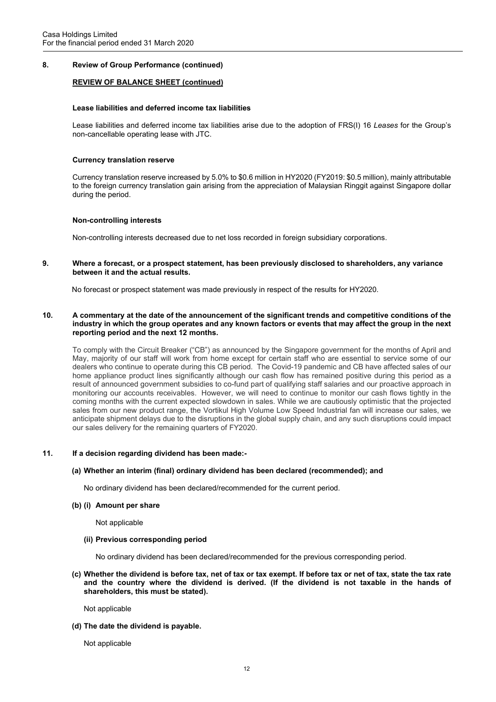## 8. Review of Group Performance (continued)

## REVIEW OF BALANCE SHEET (continued)

#### Lease liabilities and deferred income tax liabilities

Lease liabilities and deferred income tax liabilities arise due to the adoption of FRS(I) 16 Leases for the Group's non-cancellable operating lease with JTC.

#### Currency translation reserve

Currency translation reserve increased by 5.0% to \$0.6 million in HY2020 (FY2019: \$0.5 million), mainly attributable to the foreign currency translation gain arising from the appreciation of Malaysian Ringgit against Singapore dollar during the period.

#### Non-controlling interests

Non-controlling interests decreased due to net loss recorded in foreign subsidiary corporations.

9. Where a forecast, or a prospect statement, has been previously disclosed to shareholders, any variance between it and the actual results.

No forecast or prospect statement was made previously in respect of the results for HY2020.

10. A commentary at the date of the announcement of the significant trends and competitive conditions of the industry in which the group operates and any known factors or events that may affect the group in the next reporting period and the next 12 months.

To comply with the Circuit Breaker ("CB") as announced by the Singapore government for the months of April and May, majority of our staff will work from home except for certain staff who are essential to service some of our dealers who continue to operate during this CB period. The Covid-19 pandemic and CB have affected sales of our home appliance product lines significantly although our cash flow has remained positive during this period as a result of announced government subsidies to co-fund part of qualifying staff salaries and our proactive approach in monitoring our accounts receivables. However, we will need to continue to monitor our cash flows tightly in the coming months with the current expected slowdown in sales. While we are cautiously optimistic that the projected sales from our new product range, the Vortikul High Volume Low Speed Industrial fan will increase our sales, we anticipate shipment delays due to the disruptions in the global supply chain, and any such disruptions could impact our sales delivery for the remaining quarters of FY2020.

#### 11. If a decision regarding dividend has been made:-

#### (a) Whether an interim (final) ordinary dividend has been declared (recommended); and

No ordinary dividend has been declared/recommended for the current period.

#### (b) (i) Amount per share

Not applicable

(ii) Previous corresponding period

No ordinary dividend has been declared/recommended for the previous corresponding period.

(c) Whether the dividend is before tax, net of tax or tax exempt. If before tax or net of tax, state the tax rate and the country where the dividend is derived. (If the dividend is not taxable in the hands of shareholders, this must be stated).

Not applicable

(d) The date the dividend is payable.

Not applicable